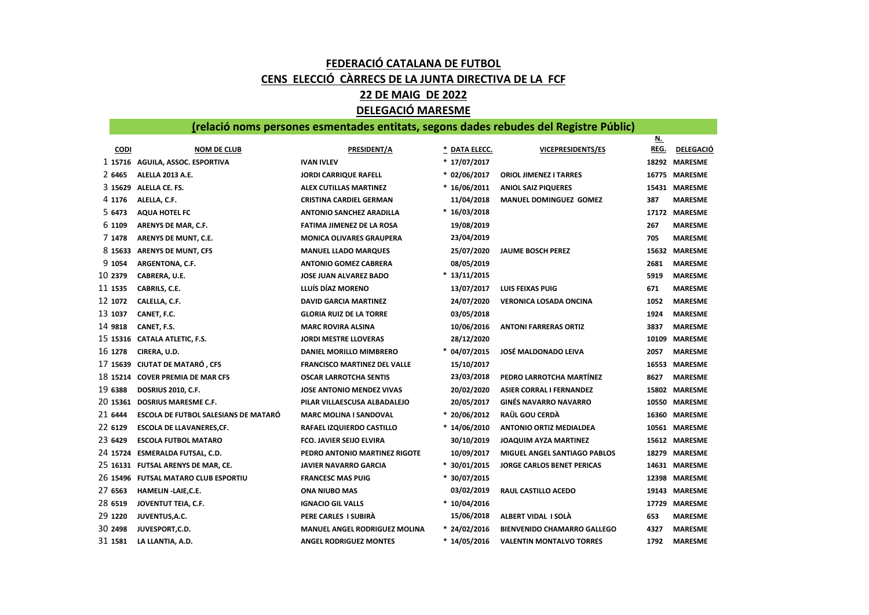## FEDERACIÓ CATALANA DE FUTBOL CENS ELECCIÓ CÀRRECS DE LA JUNTA DIRECTIVA DE LA FCF 22 DE MAIG DE 2022 DELEGACIÓ MARESME

## (relació noms persones esmentades entitats, segons dades rebudes del Registre Públic)

|             |                                      |                                      |                |                                     | <u>N.</u> |                  |
|-------------|--------------------------------------|--------------------------------------|----------------|-------------------------------------|-----------|------------------|
| <b>CODI</b> | <b>NOM DE CLUB</b>                   | <b>PRESIDENT/A</b>                   | * DATA ELECC.  | <b>VICEPRESIDENTS/ES</b>            | REG.      | <b>DELEGACIO</b> |
|             | 1 15716 AGUILA, ASSOC. ESPORTIVA     | <b>IVAN IVLEV</b>                    | * 17/07/2017   |                                     |           | 18292 MARESME    |
| 2 6465      | <b>ALELLA 2013 A.E.</b>              | <b>JORDI CARRIQUE RAFELL</b>         | * 02/06/2017   | <b>ORIOL JIMENEZ I TARRES</b>       |           | 16775 MARESME    |
| 3 15629     | ALELLA CE. FS.                       | <b>ALEX CUTILLAS MARTINEZ</b>        | * 16/06/2011   | <b>ANIOL SAIZ PIQUERES</b>          |           | 15431 MARESME    |
| 4 1176      | ALELLA, C.F.                         | <b>CRISTINA CARDIEL GERMAN</b>       | 11/04/2018     | MANUEL DOMINGUEZ GOMEZ              | 387       | <b>MARESME</b>   |
| 5 6473      | <b>AQUA HOTEL FC</b>                 | <b>ANTONIO SANCHEZ ARADILLA</b>      | $*16/03/2018$  |                                     |           | 17172 MARESME    |
| 6 1109      | ARENYS DE MAR, C.F.                  | <b>FATIMA JIMENEZ DE LA ROSA</b>     | 19/08/2019     |                                     | 267       | <b>MARESME</b>   |
| 7 1478      | ARENYS DE MUNT, C.E.                 | <b>MONICA OLIVARES GRAUPERA</b>      | 23/04/2019     |                                     | 705       | <b>MARESME</b>   |
| 8 15633     | <b>ARENYS DE MUNT, CFS</b>           | <b>MANUEL LLADO MARQUES</b>          | 25/07/2020     | <b>JAUME BOSCH PEREZ</b>            |           | 15632 MARESME    |
| 9 1054      | ARGENTONA, C.F.                      | <b>ANTONIO GOMEZ CABRERA</b>         | 08/05/2019     |                                     | 2681      | <b>MARESME</b>   |
| 10 2379     | CABRERA, U.E.                        | <b>JOSE JUAN ALVAREZ BADO</b>        | $*13/11/2015$  |                                     | 5919      | <b>MARESME</b>   |
| 11 1535     | CABRILS, C.E.                        | LLUÍS DÍAZ MORENO                    | 13/07/2017     | <b>LUIS FEIXAS PUIG</b>             | 671       | <b>MARESME</b>   |
| 12 1072     | CALELLA, C.F.                        | <b>DAVID GARCIA MARTINEZ</b>         | 24/07/2020     | VERONICA LOSADA ONCINA              | 1052      | <b>MARESME</b>   |
| 13 1037     | CANET, F.C.                          | <b>GLORIA RUIZ DE LA TORRE</b>       | 03/05/2018     |                                     | 1924      | <b>MARESME</b>   |
| 14 9818     | CANET, F.S.                          | <b>MARC ROVIRA ALSINA</b>            | 10/06/2016     | <b>ANTONI FARRERAS ORTIZ</b>        | 3837      | <b>MARESME</b>   |
|             | 15 15316 CATALA ATLETIC, F.S.        | <b>JORDI MESTRE LLOVERAS</b>         | 28/12/2020     |                                     | 10109     | <b>MARESME</b>   |
| 16 1278     | CIRERA, U.D.                         | DANIEL MORILLO MIMBRERO              | * 04/07/2015   | <b>JOSÉ MALDONADO LEIVA</b>         | 2057      | <b>MARESME</b>   |
| 17 15639    | <b>CIUTAT DE MATARÓ, CFS</b>         | <b>FRANCISCO MARTINEZ DEL VALLE</b>  | 15/10/2017     |                                     |           | 16553 MARESME    |
| 18 15214    | <b>COVER PREMIA DE MAR CFS</b>       | <b>OSCAR LARROTCHA SENTIS</b>        | 23/03/2018     | PEDRO LARROTCHA MARTÍNEZ            | 8627      | <b>MARESME</b>   |
| 19 6388     | <b>DOSRIUS 2010, C.F.</b>            | <b>JOSE ANTONIO MENDEZ VIVAS</b>     | 20/02/2020     | <b>ASIER CORRAL I FERNANDEZ</b>     |           | 15802 MARESME    |
| 20 15361    | <b>DOSRIUS MARESME C.F.</b>          | PILAR VILLAESCUSA ALBADALEJO         | 20/05/2017     | <b>GINÉS NAVARRO NAVARRO</b>        |           | 10550 MARESME    |
| 21 6444     | ESCOLA DE FUTBOL SALESIANS DE MATARÓ | <b>MARC MOLINA I SANDOVAL</b>        | $* 20/06/2012$ | RAÜL GOU CERDÀ                      |           | 16360 MARESME    |
| 22 6129     | <b>ESCOLA DE LLAVANERES,CF.</b>      | RAFAEL IZQUIERDO CASTILLO            | $*14/06/2010$  | <b>ANTONIO ORTIZ MEDIALDEA</b>      |           | 10561 MARESME    |
| 23 6429     | <b>ESCOLA FUTBOL MATARO</b>          | <b>FCO. JAVIER SEIJO ELVIRA</b>      | 30/10/2019     | <b>JOAQUIM AYZA MARTINEZ</b>        |           | 15612 MARESME    |
| 24 15724    | <b>ESMERALDA FUTSAL, C.D.</b>        | PEDRO ANTONIO MARTINEZ RIGOTE        | 10/09/2017     | <b>MIGUEL ANGEL SANTIAGO PABLOS</b> |           | 18279 MARESME    |
|             | 25 16131 FUTSAL ARENYS DE MAR, CE.   | <b>JAVIER NAVARRO GARCIA</b>         | * 30/01/2015   | <b>JORGE CARLOS BENET PERICAS</b>   |           | 14631 MARESME    |
|             | 26 15496 FUTSAL MATARO CLUB ESPORTIU | <b>FRANCESC MAS PUIG</b>             | $*30/07/2015$  |                                     |           | 12398 MARESME    |
| 27 6563     | HAMELIN -LAIE, C.E.                  | <b>ONA NIUBO MAS</b>                 | 03/02/2019     | RAUL CASTILLO ACEDO                 |           | 19143 MARESME    |
| 28 6519     | JOVENTUT TEIA, C.F.                  | <b>IGNACIO GIL VALLS</b>             | $*10/04/2016$  |                                     |           | 17729 MARESME    |
| 29 1220     | JUVENTUS, A.C.                       | PERE CARLES I SUBIRA                 | 15/06/2018     | ALBERT VIDAL I SOLA                 | 653       | <b>MARESME</b>   |
| 30 2498     | JUVESPORT, C.D.                      | <b>MANUEL ANGEL RODRIGUEZ MOLINA</b> | * 24/02/2016   | <b>BIENVENIDO CHAMARRO GALLEGO</b>  | 4327      | <b>MARESME</b>   |
| 31 1581     | LA LLANTIA, A.D.                     | <b>ANGEL RODRIGUEZ MONTES</b>        | $*14/05/2016$  | <b>VALENTIN MONTALVO TORRES</b>     | 1792      | <b>MARESME</b>   |
|             |                                      |                                      |                |                                     |           |                  |